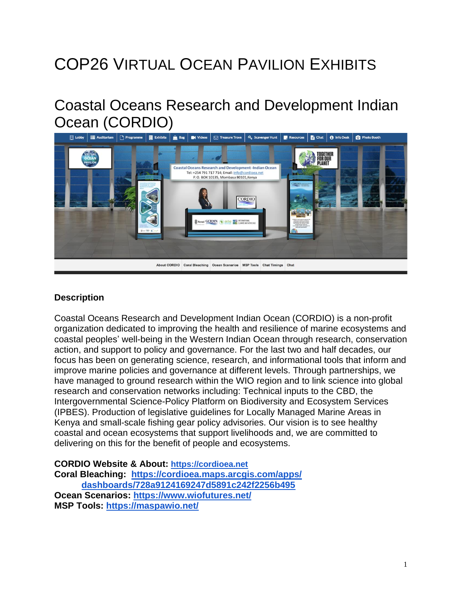# COP26 VIRTUAL OCEAN PAVILION EXHIBITS

## Coastal Oceans Research and Development Indian Ocean (CORDIO)



#### **Description**

Coastal Oceans Research and Development Indian Ocean (CORDIO) is a non-profit organization dedicated to improving the health and resilience of marine ecosystems and coastal peoples' well-being in the Western Indian Ocean through research, conservation action, and support to policy and governance. For the last two and half decades, our focus has been on generating science, research, and informational tools that inform and improve marine policies and governance at different levels. Through partnerships, we have managed to ground research within the WIO region and to link science into global research and conservation networks including: Technical inputs to the CBD, the Intergovernmental Science-Policy Platform on Biodiversity and Ecosystem Services (IPBES). Production of legislative guidelines for Locally Managed Marine Areas in Kenya and small-scale fishing gear policy advisories. Our vision is to see healthy coastal and ocean ecosystems that support livelihoods and, we are committed to delivering on this for the benefit of people and ecosystems.

**CORDIO Website & About: [https://cordioea.net](https://cordioea.net/) Coral Bleaching: [https://cordioea.maps.arcgis.com/apps/](https://cordioea.maps.arcgis.com/apps/dashboards/728a9124169247d5891c242f2256b495) dashboards/728a9124169247d5891c242f2256b495 Ocean Scenarios: <https://www.wiofutures.net/> MSP Tools: <https://maspawio.net/>**